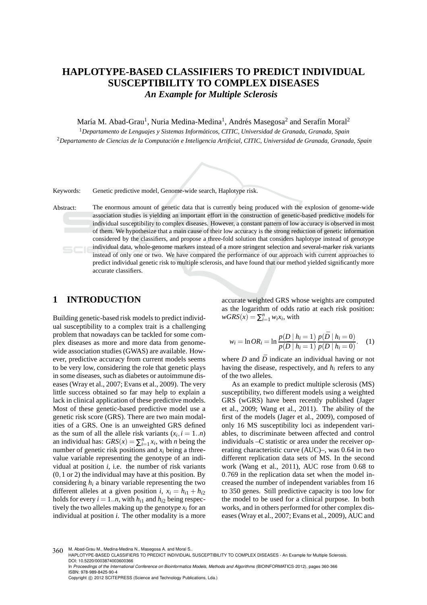# **HAPLOTYPE-BASED CLASSIFIERS TO PREDICT INDIVIDUAL SUSCEPTIBILITY TO COMPLEX DISEASES** *An Example for Multiple Sclerosis*

María M. Abad-Grau<sup>1</sup>, Nuria Medina-Medina<sup>1</sup>, Andrés Masegosa<sup>2</sup> and Serafín Moral<sup>2</sup>

<sup>1</sup>*Departamento de Lenguajes y Sistemas Inform´aticos, CITIC, Universidad de Granada, Granada, Spain* <sup>2</sup>Departamento de Ciencias de la Computación e Inteligencia Artificial, CITIC, Universidad de Granada, Granada, Spain

Keywords: Genetic predictive model, Genome-wide search, Haplotype risk.

Abstract: The enormous amount of genetic data that is currently being produced with the explosion of genome-wide association studies is yielding an important effort in the construction of genetic-based predictive models for individual susceptibility to complex diseases. However, a constant pattern of low accuracy is observed in most of them. We hypothesize that a main cause of their low accuracy is the strong reduction of genetic information considered by the classifiers, and propose a three-fold solution that considers haplotype instead of genotype individual data, whole-genome markers instead of a more stringent selection and several-marker risk variants  $SCI$ instead of only one or two. We have compared the performance of our approach with current approaches to predict individual genetic risk to multiple sclerosis, and have found that our method yielded significantly more accurate classifiers.

## **1 INTRODUCTION**

Building genetic-based risk models to predict individual susceptibility to a complex trait is a challenging problem that nowadays can be tackled for some complex diseases as more and more data from genomewide association studies (GWAS) are available. However, predictive accuracy from current models seems to be very low, considering the role that genetic plays in some diseases, such as diabetes or autoimmune diseases (Wray et al., 2007; Evans et al., 2009). The very little success obtained so far may help to explain a lack in clinical application of these predictive models. Most of these genetic-based predictive model use a genetic risk score (GRS). There are two main modalities of a GRS. One is an unweighted GRS defined as the sum of all the allele risk variants  $(x_i, i = 1..n)$ an individual has:  $GRS(x) = \sum_{i=1}^{n} x_i$ , with *n* being the number of genetic risk positions and *x<sup>i</sup>* being a threevalue variable representing the genotype of an individual at position *i*, i.e. the number of risk variants (0,1 or 2) the individual may have at this position. By considering  $h_i$  a binary variable representing the two different alleles at a given position *i*,  $x_i = h_{i1} + h_{i2}$ holds for every  $i = 1..n$ , with  $h_{i1}$  and  $h_{i2}$  being respectively the two alleles making up the genotype  $x_i$  for an individual at position *i*. The other modality is a more accurate weighted GRS whose weights are computed as the logarithm of odds ratio at each risk position:  $wGRS(x) = \sum_{i=1}^{n} w_i x_i$ , with

$$
w_i = \ln OR_i = \ln \frac{p(D \mid h_i = 1)}{p(D \mid h_i = 1)} \frac{p(D \mid h_i = 0)}{p(D \mid h_i = 0)}.
$$
 (1)

where  $D$  and  $\bar{D}$  indicate an individual having or not having the disease, respectively, and *h<sup>i</sup>* refers to any of the two alleles.

As an example to predict multiple sclerosis (MS) susceptibility, two different models using a weighted GRS (wGRS) have been recently published (Jager et al., 2009; Wang et al., 2011). The ability of the first of the models (Jager et al., 2009), composed of only 16 MS susceptibility loci as independent variables, to discriminate between affected and control individuals –C statistic or area under the receiver operating characteristic curve (AUC)–, was 0.64 in two different replication data sets of MS. In the second work (Wang et al., 2011), AUC rose from 0.68 to 0.769 in the replication data set when the model increased the number of independent variables from 16 to 350 genes. Still predictive capacity is too low for the model to be used for a clinical purpose. In both works, and in others performed for other complex diseases (Wray et al., 2007; Evans et al., 2009), AUC and

<sup>360</sup> M. Abad-Grau M., Medina-Medina N., Masegosa A. and Moral S.

HAPLOTYPE-BASED CLASSIFIERS TO PREDICT INDIVIDUAL SUSCEPTIBILITY TO COMPLEX DISEASES - An Example for Multiple Sclerosis. DOI: 10.5220/0003874003600366

In *Proceedings of the International Conference on Bioinformatics Models, Methods and Algorithms* (BIOINFORMATICS-2012), pages 360-366 ISBN: 978-989-8425-90-4

Copyright © 2012 SCITEPRESS (Science and Technology Publications, Lda.)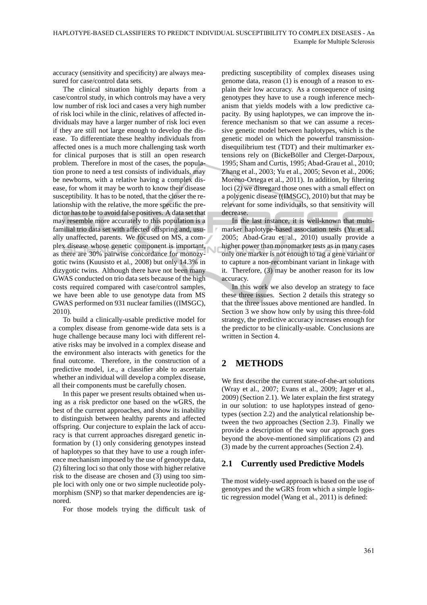accuracy (sensitivity and specificity) are always measured for case/control data sets.

The clinical situation highly departs from a case/control study, in which controls may have a very low number of risk loci and cases a very high number of risk loci while in the clinic, relatives of affected individuals may have a larger number of risk loci even if they are still not large enough to develop the disease. To differentiate these healthy individuals from affected ones is a much more challenging task worth for clinical purposes that is still an open research problem. Therefore in most of the cases, the population prone to need a test consists of individuals, may be newborns, with a relative having a complex disease, for whom it may be worth to know their disease susceptibility. It has to be noted, that the closer the relationship with the relative, the more specific the predictor has to be to avoid false positives. A data set that may resemble more accurately to this population is a familial trio data set with affected offspring and, usually unaffected, parents. We focused on MS, a complex disease whose genetic component is important, as there are 30% pairwise concordance for monozygotic twins (Kuusisto et al., 2008) but only 14.3% in dizygotic twins. Although there have not been many GWAS conducted on trio data sets because of the high costs required compared with case/control samples, we have been able to use genotype data from MS GWAS performed on 931 nuclear families ((IMSGC), 2010).

To build a clinically-usable predictive model for a complex disease from genome-wide data sets is a huge challenge because many loci with different relative risks may be involved in a complex disease and the environment also interacts with genetics for the final outcome. Therefore, in the construction of a predictive model, i.e., a classifier able to ascertain whether an individual will develop a complex disease, all their components must be carefully chosen.

In this paper we present results obtained when using as a risk predictor one based on the wGRS, the best of the current approaches, and show its inability to distinguish between healthy parents and affected offspring. Our conjecture to explain the lack of accuracy is that current approaches disregard genetic information by (1) only considering genotypes instead of haplotypes so that they have to use a rough inference mechanism imposed by the use of genotype data, (2) filtering loci so that only those with higher relative risk to the disease are chosen and (3) using too simple loci with only one or two simple nucleotide polymorphism (SNP) so that marker dependencies are ignored.

For those models trying the difficult task of

predicting susceptibility of complex diseases using genome data, reason (1) is enough of a reason to explain their low accuracy. As a consequence of using genotypes they have to use a rough inference mechanism that yields models with a low predictive capacity. By using haplotypes, we can improve the inference mechanism so that we can assume a recessive genetic model between haplotypes, which is the genetic model on which the powerful transmissiondisequilibrium test (TDT) and their multimarker extensions rely on (BickeBöller and Clerget-Darpoux, 1995; Sham and Curtis, 1995; Abad-Grau et al., 2010; Zhang et al., 2003; Yu et al., 2005; Sevon et al., 2006; Moreno-Ortega et al., 2011). In addition, by filtering loci (2) we disregard those ones with a small effect on a polygenic disease ((IMSGC), 2010) but that may be relevant for some individuals, so that sensitivity will decrease.

In the last instance, it is well-known that multimarker haplotype-based association tests (Yu et al., 2005; Abad-Grau et al., 2010) usually provide a higher power than monomarker tests as in many cases only one marker is not enough to tag a gene variant or to capture a non-recombinant variant in linkage with it. Therefore, (3) may be another reason for its low accuracy.

In this work we also develop an strategy to face these three issues. Section 2 details this strategy so that the three issues above mentioned are handled. In Section 3 we show how only by using this three-fold strategy, the predictive accuracy increases enough for the predictor to be clinically-usable. Conclusions are written in Section 4.

## **2 METHODS**

We first describe the current state-of-the-art solutions (Wray et al., 2007; Evans et al., 2009; Jager et al., 2009) (Section 2.1). We later explain the first strategy in our solution: to use haplotypes instead of genotypes (section 2.2) and the analytical relationship between the two approaches (Section 2.3). Finally we provide a description of the way our approach goes beyond the above-mentioned simplifications (2) and (3) made by the current approaches (Section 2.4).

### **2.1 Currently used Predictive Models**

The most widely-used approach is based on the use of genotypes and the wGRS from which a simple logistic regression model (Wang et al., 2011) is defined: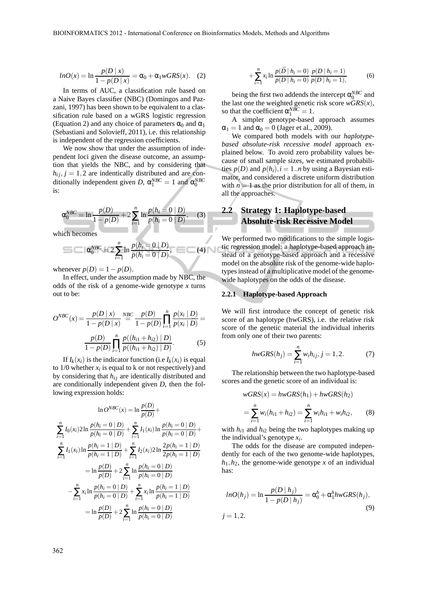$$
lnO(x) = \ln \frac{p(D \mid x)}{1 - p(D \mid x)} = \alpha_0 + \alpha_1 wGRS(x). \quad (2)
$$

In terms of AUC, a classification rule based on a Naive Bayes classifier (NBC) (Domingos and Pazzani, 1997) has been shown to be equivalent to a classification rule based on a wGRS logistic regression (Equation 2) and any choice of parameters  $\alpha_0$  and  $\alpha_1$ (Sebastiani and Solovieff, 2011), i.e. this relationship is independent of the regression coefficients.

We now show that under the assumption of independent loci given the disease outcome, an assumption that yields the NBC, and by considering that  $h_{ij}$ ,  $j = 1,2$  are indentically distributed and are conditionally independent given *D*,  $\alpha_1^{NBC} = 1$  and  $\alpha_0^{NBC}$ is:

$$
\alpha_0^{NBC} = \ln \frac{p(D)}{1 - p(D)} + 2 \sum_{i=1}^n \ln \frac{p(h_i = 0 \mid D)}{p(h_i = 0 \mid \bar{D})}, \quad (3)
$$

which becomes

$$
\cos \theta_0^{\text{NBC}} = 2 \sum_{i=1}^{n} \ln \frac{p(h_i = 0 \mid D)}{p(h_i = 0 \mid \bar{D})}, \quad (4)
$$

whenever  $p(D) = 1 - p(D)$ .

In effect, under the assumption made by NBC, the odds of the risk of a genome-wide genotype *x* turns out to be:

$$
O^{NBC}(x) = \frac{p(D \mid x)}{1 - p(D \mid x)} \stackrel{NBC}{=} \frac{p(D)}{1 - p(D)} \prod_{i=1}^{n} \frac{p(x_i \mid D)}{p(x_i \mid \bar{D})} = \frac{p(D)}{1 - p(D)} \prod_{i=1}^{n} \frac{p((h_{i1} + h_{i2}) \mid D)}{p((h_{i1} + h_{i2}) \mid \bar{D})}.
$$
 (5)

If  $I_k(x_i)$  is the indicator function (i.e  $I_k(x_i)$ ) is equal to  $1/0$  whether  $x_i$  is equal to k or not respectively) and by considering that  $h_{ij}$  are identically distributed and are conditionally independent given *D*, then the following expression holds:

$$
\ln O^{NBC}(x) = \ln \frac{p(D)}{p(D)} +
$$
\n
$$
\sum_{i=1}^{n} I_0(x_i) 2 \ln \frac{p(h_i = 0 | D)}{p(h_i = 0 | \bar{D})} + \sum_{i=1}^{n} I_1(x_i) \ln \frac{p(h_i = 0 | D)}{p(h_i = 0 | \bar{D})} +
$$
\n
$$
\sum_{i=1}^{n} I_1(x_i) \ln \frac{p(h_i = 1 | D)}{p(h_i = 1 | \bar{D})} + \sum_{i=1}^{n} I_2(x_i) 2 \ln \frac{2p(h_i = 1 | D)}{2p(h_i = 1 | \bar{D})}
$$
\n
$$
= \ln \frac{p(D)}{p(\bar{D})} + 2 \sum_{i=1}^{n} \ln \frac{p(h_i = 0 | D)}{p(h_i = 0 | \bar{D})}
$$
\n
$$
- \sum_{i=1}^{n} x_i \ln \frac{p(h_i = 0 | D)}{p(h_i = 0 | \bar{D})} + \sum_{i=1}^{n} x_i \ln \frac{p(h_i = 1 | D)}{p(h_i = 1 | \bar{D})}
$$
\n
$$
= \ln \frac{p(D)}{p(\bar{D})} + 2 \sum_{i=1}^{n} \ln \frac{p(h_i = 0 | D)}{p(h_i = 0 | \bar{D})}
$$

$$
+\sum_{i=1}^{n} x_i \ln \frac{p(\bar{D} \mid h_i = 0)}{p(D \mid h_i = 0)} \frac{p(D \mid h_i = 1)}{p(\bar{D} \mid h_i = 1)},
$$
(6)

being the first two addends the intercept  $\alpha_0^{NBC}$  and the last one the weighted genetic risk score *wGRS*(*x*), so that the coefficient  $\alpha_1^{NBC} = 1$ .

A simpler genotype-based approach assumes  $\alpha_1 = 1$  and  $\alpha_0 = 0$  (Jager et al., 2009).

We compared both models with our *haplotypebased absolute-risk recessive model* approach explained below. To avoid zero probability values because of small sample sizes, we estimated probabilities  $p(D)$  and  $p(h_i)$ ,  $i = 1..n$  by using a Bayesian estimator, and considered a discrete uniform distribution with  $n = 1$  as the prior distribution for all of them, in all the approaches.

## **2.2 Strategy 1: Haplotype-based Absolute-risk Recessive Model**

We performed two modifications to the simple logistic regression model: a haplotype-based approach instead of a genotype-based approach and a recessive model on the absolute risk of the genome-wide haplotypes instead of a multiplicative model of the genomewide haplotypes on the odds of the disease.

### **2.2.1 Haplotype-based Approach**

We will first introduce the concept of genetic risk score of an haplotype (hwGRS), i.e. the relative risk score of the genetic material the individual inherits from only one of their two parents:

$$
hwGRS(h_j) = \sum_{i=1}^{n} w_i h_{ij}, j = 1, 2.
$$
 (7)

The relationship between the two haplotype-based scores and the genetic score of an individual is:

$$
wGRS(x) = hwGRS(h_1) + hwGRS(h_2)
$$
  
= 
$$
\sum_{i=1}^{n} w_i (h_{i1} + h_{i2}) = \sum_{i=1}^{n} w_i h_{i1} + w_i h_{i2},
$$
 (8)

with  $h_{i1}$  and  $h_{i2}$  being the two haplotypes making up the individual's genotype *x<sup>i</sup>* .

The odds for the disease are computed independently for each of the two genome-wide haplotypes,  $h_1, h_2$ , the genome-wide genotype *x* of an individual has:

$$
lnO(h_j) = \ln \frac{p(D|h_j)}{1 - p(D|h_j)} = \alpha_0^h + \alpha_1^h h w GRS(h_j),
$$
  
(9)  

$$
j = 1, 2.
$$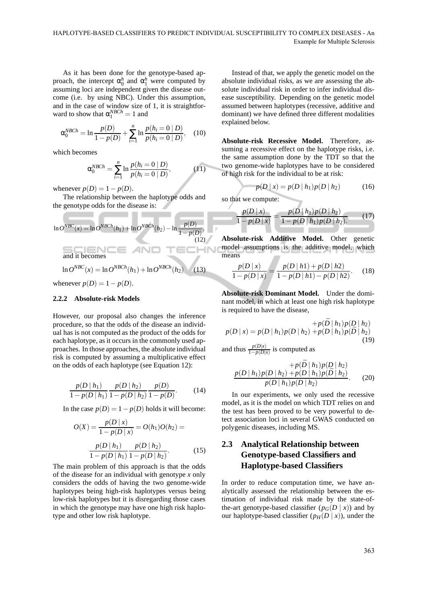As it has been done for the genotype-based approach, the intercept  $\alpha_0^h$  and  $\alpha_1^h$  were computed by assuming loci are independent given the disease outcome (i.e. by using NBC). Under this assumption, and in the case of window size of 1, it is straightforward to show that  $\alpha_1^{NBCh} = 1$  and

$$
\alpha_0^{NBCh} = \ln \frac{p(D)}{1 - p(D)} + \sum_{i=1}^n \ln \frac{p(h_i = 0 \mid D)}{p(h_i = 0 \mid \bar{D})}, \quad (10)
$$

which becomes

$$
\alpha_0^{NBCh} = \sum_{i=1}^n \ln \frac{p(h_i = 0 | D)}{p(h_i = 0 | \bar{D})},
$$
 (11)

whenever  $p(D) = 1 - p(D)$ .

\_\_\_\_\_\_\_

The relationship between the haplotype odds and the genotype odds for the disease is:

$$
\ln O^{NBC}(x) = \ln O^{NBCh}(h_1) + \ln O^{NBCh}(h_2) - \ln \frac{p(D)}{1 - p(D)},
$$
\n(12)\nand it becomes\n
$$
\ln O^{NBC}(x) = \ln O^{NBCh}(h_1) + \ln O^{NBCh}(h_2)
$$
\n(13)

whenever  $p(D) = 1 - p(D)$ .

#### **2.2.2 Absolute-risk Models**

However, our proposal also changes the inference procedure, so that the odds of the disease an individual has is not computed as the product of the odds for each haplotype, as it occurs in the commonly used approaches. In those approaches, the absolute individual risk is computed by assuming a multiplicative effect on the odds of each haplotype (see Equation 12):

$$
\frac{p(D \mid h_1)}{1 - p(D \mid h_1)} \frac{p(D \mid h_2)}{1 - p(D \mid h_2)} \frac{p(D)}{1 - p(D)}.\tag{14}
$$

In the case  $p(D) = 1 - p(D)$  holds it will become:

$$
O(X) = \frac{p(D | x)}{1 - p(D | x)} = O(h_1)O(h_2) =
$$

$$
\frac{p(D | h_1)}{1 - p(D | h_1)} \frac{p(D | h_2)}{1 - p(D | h_2)}.
$$
(15)

The main problem of this approach is that the odds of the disease for an individual with genotype *x* only considers the odds of having the two genome-wide haplotypes being high-risk haplotypes versus being low-risk haplotypes but it is disregarding those cases in which the genotype may have one high risk haplotype and other low risk haplotype.

Instead of that, we apply the genetic model on the absolute individual risks, as we are assessing the absolute individual risk in order to infer individual disease susceptibility. Depending on the genetic model assumed between haplotypes (recessive, additive and dominant) we have defined three different modalities explained below.

**Absolute-risk Recessive Model.** Therefore, assuming a recessive effect on the haplotype risks, i.e. the same assumption done by the TDT so that the two genome-wide haplotypes have to be considered of high risk for the individual to be at risk:

$$
p(D \mid x) = p(D \mid h_1)p(D \mid h_2)
$$
 (16)

so that we compute:

$$
\frac{p(D \mid x)}{1 - p(D \mid x)} = \frac{p(D \mid h_1)p(D \mid h_2)}{1 - p(D \mid h_1)p(D \mid h_2)}.
$$
 (17)

**Absolute-risk Additive Model.** Other genetic model assumptions is the additive model, which means л

$$
\frac{p(D \mid x)}{1 - p(D \mid x)} = \frac{p(D \mid h1) + p(D \mid h2)}{1 - p(D \mid h1) - p(D \mid h2)}.
$$
 (18)

**Absolute-risk Dominant Model.** Under the dominant model, in which at least one high risk haplotype is required to have the disease,

$$
+p(\bar{D} \mid h_1)p(D \mid h_2)
$$
  
\n
$$
p(D \mid x) = p(D \mid h_1)p(D \mid h_2) + p(D \mid h_1)p(\bar{D} \mid h_2)
$$
  
\nand thus 
$$
\frac{p(D|x)}{1-p(D|x)}
$$
 is computed as

$$
+p(\bar{D} \mid h_1)p(D \mid h_2) \np(D \mid h_1)p(D \mid h_2) + p(D \mid h_1)p(\bar{D} \mid h_2) \np(\bar{D} \mid h_1)p(\bar{D} \mid h_2).
$$
\n(20)

In our experiments, we only used the recessive model, as it is the model on which TDT relies on and the test has been proved to be very powerful to detect association loci in several GWAS conducted on polygenic diseases, including MS.

## **2.3 Analytical Relationship between Genotype-based Classifiers and Haplotype-based Classifiers**

In order to reduce computation time, we have analytically assessed the relationship between the estimation of individual risk made by the state-ofthe-art genotype-based classifier  $(p_G(D | x))$  and by our haplotype-based classifier  $(p_H(D | x))$ , under the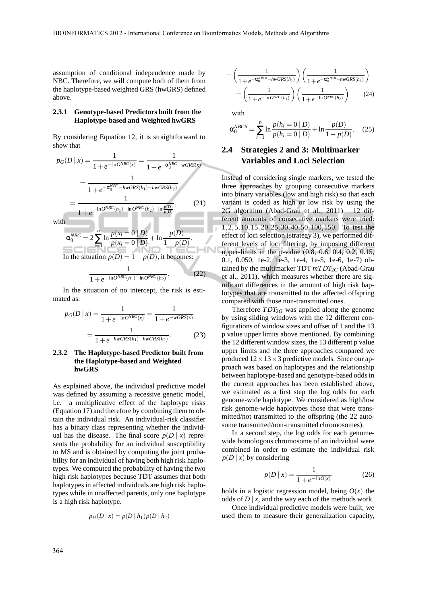assumption of conditional independence made by NBC. Therefore, we will compute both of them from the haplotype-based weighted GRS (hwGRS) defined above.

#### **2.3.1 Genotype-based Predictors built from the Haplotype-based and Weighted hwGRS**

By considering Equation 12, it is straightforward to show that

$$
p_G(D \mid x) = \frac{1}{1 + e^{-\ln O^{NBC}(x)}} = \frac{1}{1 + e^{-\alpha_0^{NBC} - wGRS(x)}}
$$

$$
= \frac{1}{1 + e^{-\alpha_0^{NBC} - hwGRS(h_1) - hwGRS(h_2)}}
$$

$$
= \frac{1}{1 + e^{-\ln O^{NBC}(h_1) - \ln O^{NBC}(h_2) + \ln \frac{p(D)}{p(D)}}}, \qquad (21)
$$
with
$$
\alpha_0^{NBC} = 2 \sum_{i=1}^{n} \ln \frac{p(x_i = 0 \mid D)}{p(x_i = 0 \mid D)} + \ln \frac{p(D)}{p(D)}.
$$

α  $0<sup>NGC</sup> = 2$ ∑ *i*=1  $\ln \frac{P(x_i - \sigma | \mathbf{B})}{P(x_i = 0 | \bar{\mathbf{D}})}$  $+$ ln  $1-p(D)$ . In the situation  $p(D) = 1 - p(D)$ , it becomes:

$$
\frac{1}{1 + e^{-\ln O^{NBC}(h_1) - \ln O^{NBC}(h_2)}}.
$$
 (22)

In the situation of no intercept, the risk is estimated as:

$$
p_G(D \mid x) = \frac{1}{1 + e^{-\ln O^{NBC}(x)}} = \frac{1}{1 + e^{-wGRS(x)}}
$$

$$
= \frac{1}{1 + e^{-hwGRS(h_1) - hwGRS(h_2)}}.
$$
(23)

#### **2.3.2 The Haplotype-based Predictor built from the Haplotype-based and Weighted hwGRS**

As explained above, the individual predictive model was defined by assuming a recessive genetic model, i.e. a multiplicative effect of the haplotype risks (Equation 17) and therefore by combining them to obtain the individual risk. An individual-risk classifier has a binary class representing whether the individual has the disease. The final score  $p(D | x)$  represents the probability for an individual susceptibility to MS and is obtained by computing the joint probability for an individual of having both high risk haplotypes. We computed the probability of having the two high risk haplotypes because TDT assumes that both haplotypes in affected individuals are high risk haplotypes while in unaffected parents, only one haplotype is a high risk haplotype.

$$
p_H(D \,|\, x) = p(D \,|\, h_1) p(D \,|\, h_2)
$$

$$
= \left(\frac{1}{1 + e^{-\alpha_0^{NBCh} - hwGRS(h_1)}}\right) \left(\frac{1}{1 + e^{-\alpha_0^{NBCh} - hwGRS(h_2)}}\right)
$$

$$
= \left(\frac{1}{1 + e^{-\ln O^{NBC}(h_1)}}\right) \left(\frac{1}{1 + e^{-\ln O^{NBC}(h_2)}}\right) \qquad (24)
$$

with

$$
\alpha_0^{NBCh} = \sum_{i=1}^n \ln \frac{p(h_i = 0 \mid D)}{p(h_i = 0 \mid \bar{D})} + \ln \frac{p(D)}{1 - p(D)}.
$$
 (25)

### **2.4 Strategies 2 and 3: Multimarker Variables and Loci Selection**

Instead of considering single markers, we tested the three approaches by grouping consecutive markers into binary variables (low and high risk) so that each variant is coded as high or low risk by using the 2G algorithm (Abad-Grau et al., 2011). 12 different amounts of consecutive markers were tried: 1,2,5,10,15,20,25,30,40,50,100,150. To test the effect of loci selection (strategy 3), we performed different levels of loci filtering, by imposing different upper-limits in the p-value (0.8, 0.6, 0.4, 0.2, 0.15, 0.1, 0.050, 1e-2, 1e-3, 1e-4, 1e-5, 1e-6, 1e-7) obtained by the multimarker TDT  $mTDT_{2G}$  (Abad-Grau et al., 2011), which measures whether there are significant differences in the amount of high risk haplotypes that are transmitted to the affected offspring compared with those non-transmitted ones.

Therefore  $TDT_{2G}$  was applied along the genome by using sliding windows with the 12 different configurations of window sizes and offset of 1 and the 13 p value upper limits above mentioned. By combining the 12 different window sizes, the 13 different p value upper limits and the three approaches compared we produced  $12 \times 13 \times 3$  predictive models. Since our approach was based on haplotypes and the relationship between haplotype-based and genotype-based odds in the current approaches has been established above, we estimated as a first step the log odds for each genome-wide haplotype. We considered as high/low risk genome-wide haplotypes those that were transmitted/not transmitted to the offspring (the 22 autosome transmitted/non-transmitted chromosomes).

In a second step, the log odds for each genomewide homologous chromosome of an individual were combined in order to estimate the individual risk  $p(D | x)$  by considering

$$
p(D \mid x) = \frac{1}{1 + e^{-\ln O(x)}}\tag{26}
$$

holds in a logistic regression model, being  $O(x)$  the odds of  $D | x$ , and the way each of the methods work.

Once individual predictive models were built, we used them to measure their generalization capacity,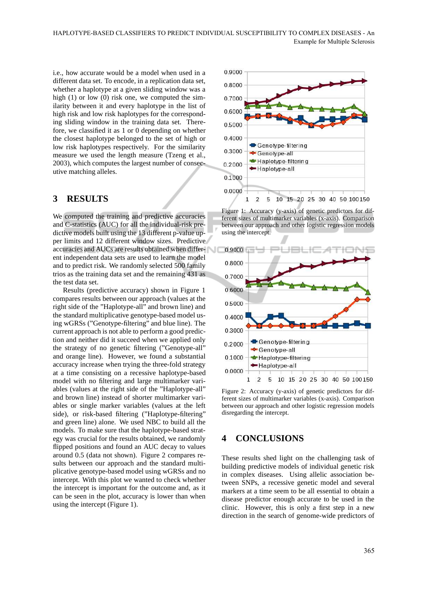i.e., how accurate would be a model when used in a different data set. To encode, in a replication data set, whether a haplotype at a given sliding window was a high (1) or low (0) risk one, we computed the similarity between it and every haplotype in the list of high risk and low risk haplotypes for the corresponding sliding window in the training data set. Therefore, we classified it as 1 or 0 depending on whether the closest haplotype belonged to the set of high or low risk haplotypes respectively. For the similarity measure we used the length measure (Tzeng et al., 2003), which computes the largest number of consecutive matching alleles.

### **3 RESULTS**

We computed the training and predictive accuracies and C-statistics (AUC) for all the individual-risk predictive models built using the 13 different p-value upper limits and 12 different window sizes. Predictive accuracies and AUCs are results obtained when different independent data sets are used to learn the model and to predict risk. We randomly selected 500 family trios as the training data set and the remaining 431 as the test data set.

Results (predictive accuracy) shown in Figure 1 compares results between our approach (values at the right side of the "Haplotype-all" and brown line) and the standard multiplicative genotype-based model using wGRSs ("Genotype-filtering" and blue line). The current approach is not able to perform a good prediction and neither did it succeed when we applied only the strategy of no genetic filtering ("Genotype-all" and orange line). However, we found a substantial accuracy increase when trying the three-fold strategy at a time consisting on a recessive haplotype-based model with no filtering and large multimarker variables (values at the right side of the "Haplotype-all" and brown line) instead of shorter multimarker variables or single marker variables (values at the left side), or risk-based filtering ("Haplotype-filtering" and green line) alone. We used NBC to build all the models. To make sure that the haplotype-based strategy was crucial for the results obtained, we randomly flipped positions and found an AUC decay to values around 0.5 (data not shown). Figure 2 compares results between our approach and the standard multiplicative genotype-based model using wGRSs and no intercept. With this plot we wanted to check whether the intercept is important for the outcome and, as it can be seen in the plot, accuracy is lower than when using the intercept (Figure 1).



Figure 1: Accuracy (y-axis) of genetic predictors for different sizes of multimarker variables (x-axis). Comparison between our approach and other logistic regression models using the intercept.



Figure 2: Accuracy (y-axis) of genetic predictors for different sizes of multimarker variables (x-axis). Comparison between our approach and other logistic regression models disregarding the intercept.

## **4 CONCLUSIONS**

These results shed light on the challenging task of building predictive models of individual genetic risk in complex diseases. Using allelic association between SNPs, a recessive genetic model and several markers at a time seem to be all essential to obtain a disease predictor enough accurate to be used in the clinic. However, this is only a first step in a new direction in the search of genome-wide predictors of